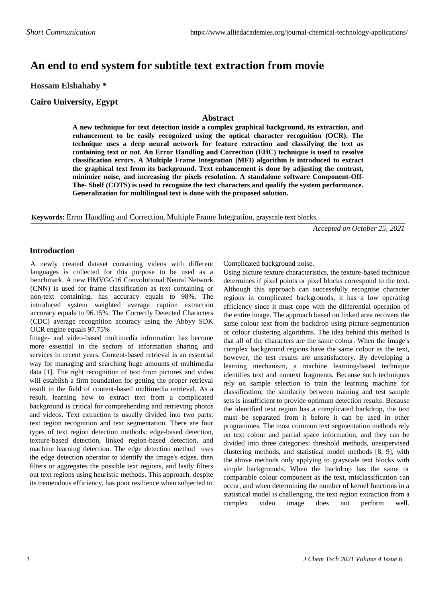# **An end to end system for subtitle text extraction from movie**

**Hossam Elshahaby \***

**Cairo University, Egypt**

### **Abstract**

**A new technique for text detection inside a complex graphical background, its extraction, and enhancement to be easily recognized using the optical character recognition (OCR). The technique uses a deep neural network for feature extraction and classifying the text as containing text or not. An Error Handling and Correction (EHC) technique is used to resolve classification errors. A Multiple Frame Integration (MFI) algorithm is introduced to extract the graphical text from its background. Text enhancement is done by adjusting the contrast, minimize noise, and increasing the pixels resolution. A standalone software Component-Off-The- Shelf (COTS) is used to recognize the text characters and qualify the system performance. Generalization for multilingual text is done with the proposed solution.** 

**Keywords:** Error Handling and Correction, Multiple Frame Integration, grayscale text blocks.

*Accepted on October 25, 2021*

### **Introduction**

A newly created dataset containing videos with different languages is collected for this purpose to be used as a benchmark. A new HMVGG16 Convolutional Neural Network (CNN) is used for frame classification as text containing or non-text containing, has accuracy equals to 98%. The introduced system weighted average caption extraction accuracy equals to 96.15%. The Correctly Detected Characters (CDC) average recognition accuracy using the Abbyy SDK OCR engine equals 97.75%

Image- and video-based multimedia information has become more essential in the sectors of information sharing and services in recent years. Content-based retrieval is an essential way for managing and searching huge amounts of multimedia data [1]. The right recognition of text from pictures and video will establish a firm foundation for getting the proper retrieval result in the field of content-based multimedia retrieval. As a result, learning how to extract text from a complicated background is critical for comprehending and retrieving photos and videos. Text extraction is usually divided into two parts: text region recognition and text segmentation. There are four types of text region detection methods: edge-based detection, texture-based detection, linked region-based detection, and machine learning detection. The edge detection method uses the edge detection operator to identify the image's edges, then filters or aggregates the possible text regions, and lastly filters out text regions using heuristic methods. This approach, despite its tremendous efficiency, has poor resilience when subjected to

Complicated background noise.

Using picture texture characteristics, the texture-based technique determines if pixel points or pixel blocks correspond to the text. Although this approach can successfully recognise character regions in complicated backgrounds, it has a low operating efficiency since it must cope with the differential operation of the entire image. The approach based on linked area recovers the same colour text from the backdrop using picture segmentation or colour clustering algorithms. The idea behind this method is that all of the characters are the same colour. When the image's complex background regions have the same colour as the text, however, the test results are unsatisfactory. By developing a learning mechanism, a machine learning-based technique identifies text and nontext fragments. Because such techniques rely on sample selection to train the learning machine for classification, the similarity between training and test sample sets is insufficient to provide optimum detection results. Because the identified text region has a complicated backdrop, the text must be separated from it before it can be used in other programmes. The most common text segmentation methods rely on text colour and partial space information, and they can be divided into three categories: threshold methods, unsupervised clustering methods, and statistical model methods [8, 9], with the above methods only applying to grayscale text blocks with simple backgrounds. When the backdrop has the same or comparable colour component as the text, misclassification can occur, and when determining the number of kernel functions in a statistical model is challenging, the text region extraction from a complex video image does not perform well.